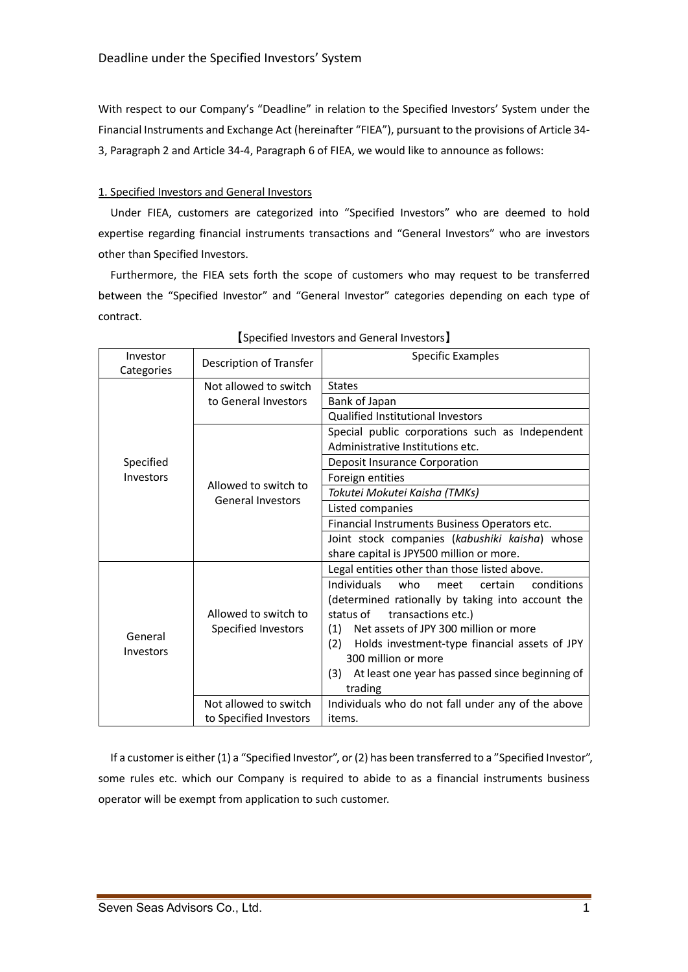With respect to our Company's "Deadline" in relation to the Specified Investors' System under the Financial Instruments and Exchange Act (hereinafter "FIEA"), pursuant to the provisions of Article 34- 3, Paragraph 2 and Article 34-4, Paragraph 6 of FIEA, we would like to announce as follows:

## 1. Specified Investors and General Investors

Under FIEA, customers are categorized into "Specified Investors" who are deemed to hold expertise regarding financial instruments transactions and "General Investors" who are investors other than Specified Investors.

Furthermore, the FIEA sets forth the scope of customers who may request to be transferred between the "Specified Investor" and "General Investor" categories depending on each type of contract.

| Investor               | Description of Transfer                          | Specific Examples                                      |
|------------------------|--------------------------------------------------|--------------------------------------------------------|
| Categories             |                                                  | <b>States</b>                                          |
| Specified<br>Investors | Not allowed to switch<br>to General Investors    | Bank of Japan                                          |
|                        |                                                  | <b>Qualified Institutional Investors</b>               |
|                        |                                                  | Special public corporations such as Independent        |
|                        | Allowed to switch to<br><b>General Investors</b> | Administrative Institutions etc.                       |
|                        |                                                  | Deposit Insurance Corporation                          |
|                        |                                                  | Foreign entities                                       |
|                        |                                                  | Tokutei Mokutei Kaisha (TMKs)                          |
|                        |                                                  | Listed companies                                       |
|                        |                                                  | Financial Instruments Business Operators etc.          |
|                        |                                                  | Joint stock companies (kabushiki kaisha) whose         |
|                        |                                                  | share capital is JPY500 million or more.               |
| General<br>Investors   |                                                  | Legal entities other than those listed above.          |
|                        |                                                  | Individuals<br>conditions<br>who<br>certain<br>meet    |
|                        |                                                  | (determined rationally by taking into account the      |
|                        | Allowed to switch to                             | transactions etc.)<br>status of                        |
|                        | Specified Investors                              | Net assets of JPY 300 million or more<br>(1)           |
|                        |                                                  | (2)<br>Holds investment-type financial assets of JPY   |
|                        |                                                  | 300 million or more                                    |
|                        |                                                  | At least one year has passed since beginning of<br>(3) |
|                        |                                                  | trading                                                |
|                        | Not allowed to switch                            | Individuals who do not fall under any of the above     |
|                        | to Specified Investors                           | items.                                                 |

# 【Specified Investors and General Investors】

If a customer is either (1) a "Specified Investor", or (2) has been transferred to a "Specified Investor", some rules etc. which our Company is required to abide to as a financial instruments business operator will be exempt from application to such customer.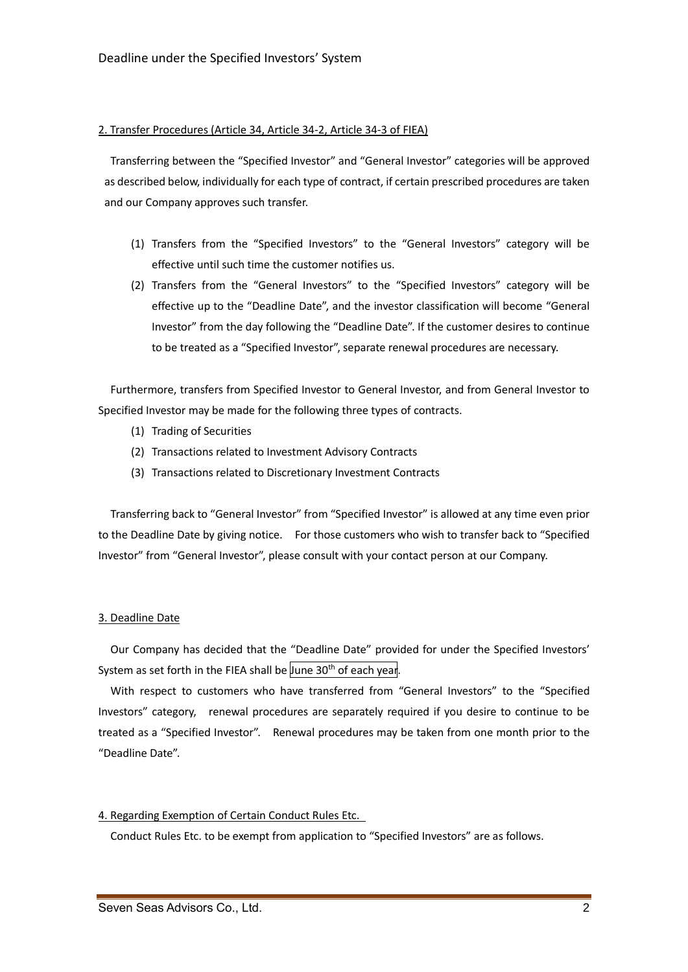#### 2. Transfer Procedures (Article 34, Article 34-2, Article 34-3 of FIEA)

Transferring between the "Specified Investor" and "General Investor" categories will be approved as described below, individually for each type of contract, if certain prescribed procedures are taken and our Company approves such transfer.

- (1) Transfers from the "Specified Investors" to the "General Investors" category will be effective until such time the customer notifies us.
- (2) Transfers from the "General Investors" to the "Specified Investors" category will be effective up to the "Deadline Date", and the investor classification will become "General Investor" from the day following the "Deadline Date". If the customer desires to continue to be treated as a "Specified Investor", separate renewal procedures are necessary.

Furthermore, transfers from Specified Investor to General Investor, and from General Investor to Specified Investor may be made for the following three types of contracts.

- (1) Trading of Securities
- (2) Transactions related to Investment Advisory Contracts
- (3) Transactions related to Discretionary Investment Contracts

Transferring back to "General Investor" from "Specified Investor" is allowed at any time even prior to the Deadline Date by giving notice. For those customers who wish to transfer back to "Specified Investor" from "General Investor", please consult with your contact person at our Company.

#### 3. Deadline Date

Our Company has decided that the "Deadline Date" provided for under the Specified Investors' System as set forth in the FIEA shall be June 30<sup>th</sup> of each year.

With respect to customers who have transferred from "General Investors" to the "Specified Investors" category, renewal procedures are separately required if you desire to continue to be treated as a "Specified Investor". Renewal procedures may be taken from one month prior to the "Deadline Date".

### 4. Regarding Exemption of Certain Conduct Rules Etc.

Conduct Rules Etc. to be exempt from application to "Specified Investors" are as follows.